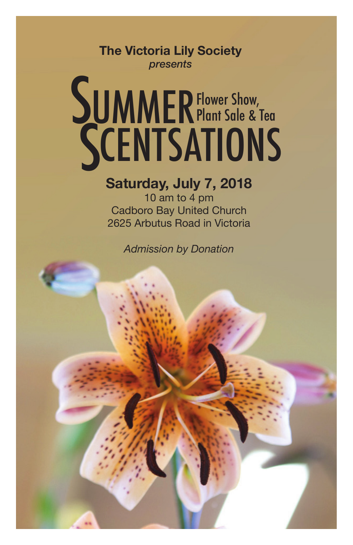**The Victoria Lily Society** *presents*

# SUMMER Flower Show,<br>SCENTSATION Flower Show, Plant Sale & Tea

# **Saturday, July 7, 2018**

10 am to 4 pm Cadboro Bay United Church 2625 Arbutus Road in Victoria

*Admission by Donation*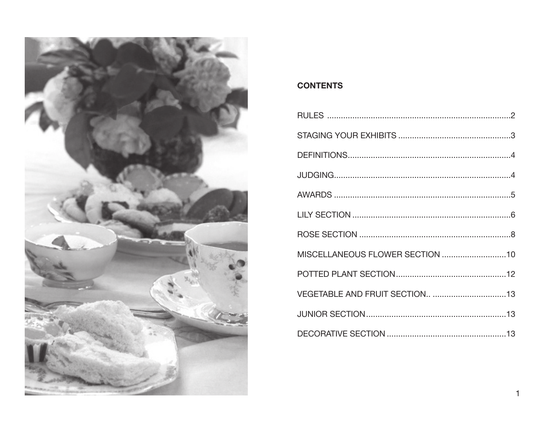

# **CONTENTS**

| MISCELLANEOUS FLOWER SECTION 10 |  |
|---------------------------------|--|
|                                 |  |
|                                 |  |
|                                 |  |
|                                 |  |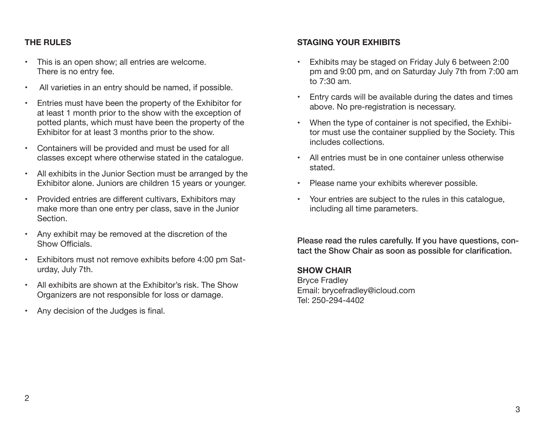# **THE RULES**

- • This is an open show; all entries are welcome. There is no entry fee.
- • All varieties in an entry should be named, if possible.
- • Entries must have been the property of the Exhibitor for at least 1 month prior to the show with the exception of potted plants, which must have been the property of the Exhibitor for at least 3 months prior to the show.
- • Containers will be provided and must be used for all classes except where otherwise stated in the catalogue.
- All exhibits in the Junior Section must be arranged by the Exhibitor alone. Juniors are children 15 years or younger.
- • Provided entries are different cultivars, Exhibitors may make more than one entry per class, save in the Junior Section.
- • Any exhibit may be removed at the discretion of the Show Officials.
- • Exhibitors must not remove exhibits before 4:00 pm Saturday, July 7th.
- • All exhibits are shown at the Exhibitor's risk. The Show Organizers are not responsible for loss or damage.
- • Any decision of the Judges is final.

# **STAGING YOUR EXHIBITS**

- Exhibits may be staged on Friday July 6 between 2:00 pm and 9:00 pm, and on Saturday July 7th from 7:00 am to 7:30 am.
- Entry cards will be available during the dates and times above. No pre-registration is necessary.
- When the type of container is not specified, the Exhibitor must use the container supplied by the Society. This includes collections.
- • All entries must be in one container unless otherwise stated.
- • Please name your exhibits wherever possible.
- • Your entries are subject to the rules in this catalogue, including all time parameters.

Please read the rules carefully. If you have questions, contact the Show Chair as soon as possible for clarification.

# **SHOW CHAIR**

Bryce Fradley Email: brycefradley@icloud.com Tel: 250-294-4402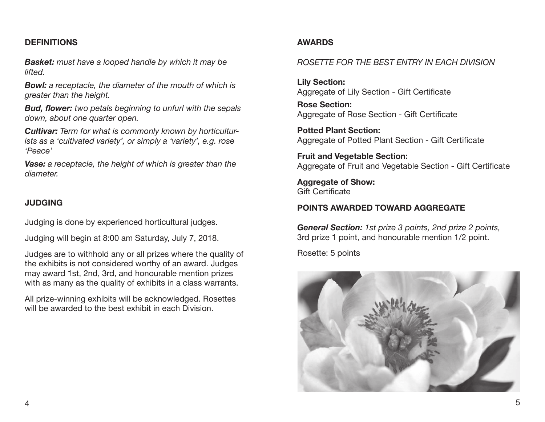#### **DEFINITIONS**

*Basket: must have a looped handle by which it may be lifted.* 

*Bowl: a receptacle, the diameter of the mouth of which is greater than the height.* 

*Bud, flower: two petals beginning to unfurl with the sepals down, about one quarter open.*

*Cultivar: Term for what is commonly known by horticulturists as a 'cultivated variety', or simply a 'variety', e.g. rose 'Peace'*

*Vase: a receptacle, the height of which is greater than the diameter.* 

#### **JUDGING**

Judging is done by experienced horticultural judges.

Judging will begin at 8:00 am Saturday, July 7, 2018.

Judges are to withhold any or all prizes where the quality of the exhibits is not considered worthy of an award. Judges may award 1st, 2nd, 3rd, and honourable mention prizes with as many as the quality of exhibits in a class warrants.

All prize-winning exhibits will be acknowledged. Rosettes will be awarded to the best exhibit in each Division.

## **AWARDS**

#### *ROSETTE FOR THE BEST ENTRY IN EACH DIVISION*

**Lily Section:**  Aggregate of Lily Section - Gift Certificate

**Rose Section:**  Aggregate of Rose Section - Gift Certificate

**Potted Plant Section:**  Aggregate of Potted Plant Section - Gift Certificate

**Fruit and Vegetable Section:**  Aggregate of Fruit and Vegetable Section - Gift Certificate

**Aggregate of Show:**  Gift Certificate

## **POINTS AWARDED TOWARD AGGREGATE**

*General Section: 1st prize 3 points, 2nd prize 2 points,*  3rd prize 1 point, and honourable mention 1/2 point.

Rosette: 5 points

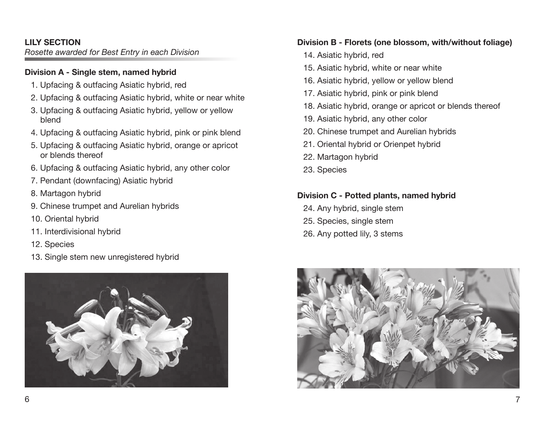# **LILY SECTION**

*Rosette awarded for Best Entry in each Division* 

#### **Division A - Single stem, named hybrid**

- 1. Upfacing & outfacing Asiatic hybrid, red
- 2. Upfacing & outfacing Asiatic hybrid, white or near white
- 3. Upfacing & outfacing Asiatic hybrid, yellow or yellow blend
- 4. Upfacing & outfacing Asiatic hybrid, pink or pink blend
- 5. Upfacing & outfacing Asiatic hybrid, orange or apricot or blends thereof
- 6. Upfacing & outfacing Asiatic hybrid, any other color
- 7. Pendant (downfacing) Asiatic hybrid
- 8. Martagon hybrid
- 9. Chinese trumpet and Aurelian hybrids
- 10. Oriental hybrid
- 11. Interdivisional hybrid
- 12. Species
- 13. Single stem new unregistered hybrid



#### **Division B - Florets (one blossom, with/without foliage)**

- 14. Asiatic hybrid, red
- 15. Asiatic hybrid, white or near white
- 16. Asiatic hybrid, yellow or yellow blend
- 17. Asiatic hybrid, pink or pink blend
- 18. Asiatic hybrid, orange or apricot or blends thereof
- 19. Asiatic hybrid, any other color
- 20. Chinese trumpet and Aurelian hybrids
- 21. Oriental hybrid or Orienpet hybrid
- 22. Martagon hybrid
- 23. Species

# **Division C - Potted plants, named hybrid**

- 24. Any hybrid, single stem
- 25. Species, single stem
- 26. Any potted lily, 3 stems

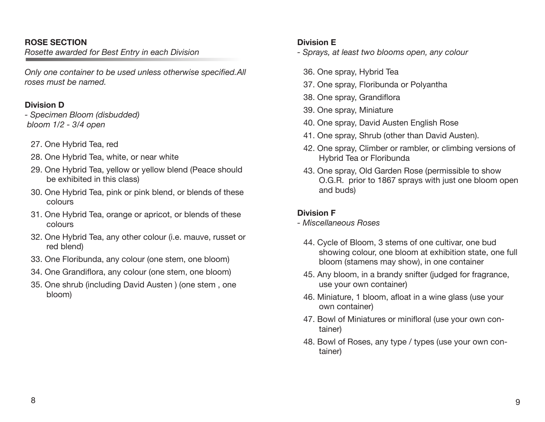#### **ROSE SECTION**

*Rosette awarded for Best Entry in each Division* 

*Only one container to be used unless otherwise specified.All roses must be named.* 

# **Division D**

*- Specimen Bloom (disbudded) bloom 1/2 - 3/4 open*

- 27. One Hybrid Tea, red
- 28. One Hybrid Tea, white, or near white
- 29. One Hybrid Tea, yellow or yellow blend (Peace should be exhibited in this class)
- 30. One Hybrid Tea, pink or pink blend, or blends of these colours
- 31. One Hybrid Tea, orange or apricot, or blends of these colours
- 32. One Hybrid Tea, any other colour (i.e. mauve, russet or red blend)
- 33. One Floribunda, any colour (one stem, one bloom)
- 34. One Grandiflora, any colour (one stem, one bloom)
- 35. One shrub (including David Austen ) (one stem , one bloom)

# **Division E**

*- Sprays, at least two blooms open, any colour*

- 36. One spray, Hybrid Tea
- 37. One spray, Floribunda or Polyantha
- 38. One spray, Grandiflora
- 39. One spray, Miniature
- 40. One spray, David Austen English Rose
- 41. One spray, Shrub (other than David Austen).
- 42. One spray, Climber or rambler, or climbing versions of Hybrid Tea or Floribunda
- 43. One spray, Old Garden Rose (permissible to show O.G.R. prior to 1867 sprays with just one bloom open and buds)

# **Division F**

- *Miscellaneous Roses* 
	- 44. Cycle of Bloom, 3 stems of one cultivar, one bud showing colour, one bloom at exhibition state, one full bloom (stamens may show), in one container
	- 45. Any bloom, in a brandy snifter (judged for fragrance, use your own container)
	- 46. Miniature, 1 bloom, afloat in a wine glass (use your own container)
	- 47. Bowl of Miniatures or minifloral (use your own container)
	- 48. Bowl of Roses, any type / types (use your own container)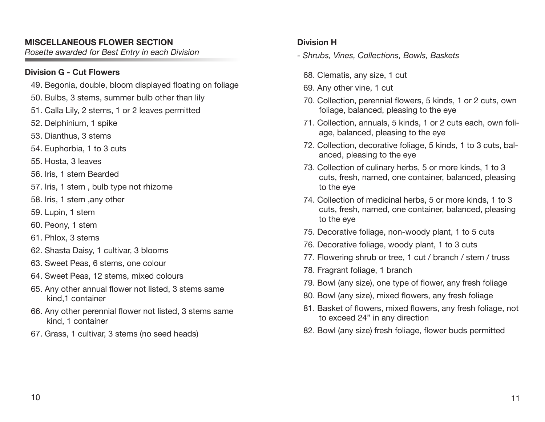# **MISCELLANEOUS FLOWER SECTION**

*Rosette awarded for Best Entry in each Division*

# **Division G - Cut Flowers**

- 49. Begonia, double, bloom displayed floating on foliage
- 50. Bulbs, 3 stems, summer bulb other than lily
- 51. Calla Lily, 2 stems, 1 or 2 leaves permitted
- 52. Delphinium, 1 spike
- 53. Dianthus, 3 stems
- 54. Euphorbia, 1 to 3 cuts
- 55. Hosta, 3 leaves
- 56. Iris, 1 stem Bearded
- 57. Iris, 1 stem , bulb type not rhizome
- 58. Iris, 1 stem ,any other
- 59. Lupin, 1 stem
- 60. Peony, 1 stem
- 61. Phlox, 3 stems
- 62. Shasta Daisy, 1 cultivar, 3 blooms
- 63. Sweet Peas, 6 stems, one colour
- 64. Sweet Peas, 12 stems, mixed colours
- 65. Any other annual flower not listed, 3 stems same kind,1 container
- 66. Any other perennial flower not listed, 3 stems same kind, 1 container
- 67. Grass, 1 cultivar, 3 stems (no seed heads)

# **Division H**

- *Shrubs, Vines, Collections, Bowls, Baskets* 
	- 68. Clematis, any size, 1 cut
	- 69. Any other vine, 1 cut
	- 70. Collection, perennial flowers, 5 kinds, 1 or 2 cuts, own foliage, balanced, pleasing to the eye
	- 71. Collection, annuals, 5 kinds, 1 or 2 cuts each, own foliage, balanced, pleasing to the eye
	- 72. Collection, decorative foliage, 5 kinds, 1 to 3 cuts, balanced, pleasing to the eye
	- 73. Collection of culinary herbs, 5 or more kinds, 1 to 3 cuts, fresh, named, one container, balanced, pleasing to the eye
	- 74. Collection of medicinal herbs, 5 or more kinds, 1 to 3 cuts, fresh, named, one container, balanced, pleasing to the eye
	- 75. Decorative foliage, non-woody plant, 1 to 5 cuts
	- 76. Decorative foliage, woody plant, 1 to 3 cuts
	- 77. Flowering shrub or tree, 1 cut / branch / stem / truss
	- 78. Fragrant foliage, 1 branch
	- 79. Bowl (any size), one type of flower, any fresh foliage
	- 80. Bowl (any size), mixed flowers, any fresh foliage
	- 81. Basket of flowers, mixed flowers, any fresh foliage, not to exceed 24" in any direction
	- 82. Bowl (any size) fresh foliage, flower buds permitted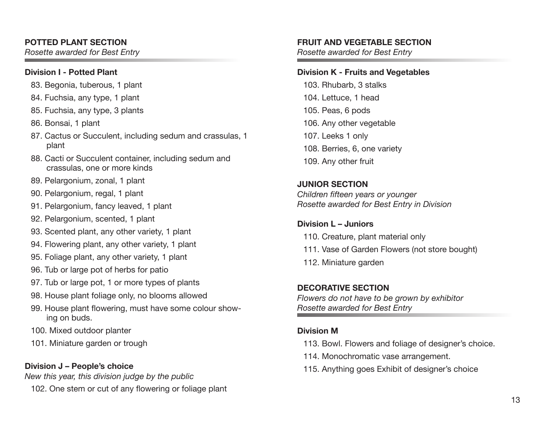# **POTTED PLANT SECTION**

*Rosette awarded for Best Entry* 

#### **Division I - Potted Plant**

- 83. Begonia, tuberous, 1 plant
- 84. Fuchsia, any type, 1 plant
- 85. Fuchsia, any type, 3 plants
- 86. Bonsai, 1 plant
- 87. Cactus or Succulent, including sedum and crassulas, 1 plant
- 88. Cacti or Succulent container, including sedum and crassulas, one or more kinds
- 89. Pelargonium, zonal, 1 plant
- 90. Pelargonium, regal, 1 plant
- 91. Pelargonium, fancy leaved, 1 plant
- 92. Pelargonium, scented, 1 plant
- 93. Scented plant, any other variety, 1 plant
- 94. Flowering plant, any other variety, 1 plant
- 95. Foliage plant, any other variety, 1 plant
- 96. Tub or large pot of herbs for patio
- 97. Tub or large pot, 1 or more types of plants
- 98. House plant foliage only, no blooms allowed
- 99. House plant flowering, must have some colour showing on buds.
- 100. Mixed outdoor planter
- 101. Miniature garden or trough

# **Division J – People's choice**

*New this year, this division judge by the public*

102. One stem or cut of any flowering or foliage plant

#### **FRUIT AND VEGETABLE SECTION**

*Rosette awarded for Best Entry* 

#### **Division K - Fruits and Vegetables**

103. Rhubarb, 3 stalks 104. Lettuce, 1 head 105. Peas, 6 pods 106. Any other vegetable 107. Leeks 1 only 108. Berries, 6, one variety 109. Any other fruit

**JUNIOR SECTION**  *Children fifteen years or younger Rosette awarded for Best Entry in Division*

# **Division L – Juniors**

- 110. Creature, plant material only
- 111. Vase of Garden Flowers (not store bought)
- 112. Miniature garden

# **DECORATIVE SECTION**

*Flowers do not have to be grown by exhibitor Rosette awarded for Best Entry*

# **Division M**

- 113. Bowl. Flowers and foliage of designer's choice.
- 114. Monochromatic vase arrangement.
- 115. Anything goes Exhibit of designer's choice